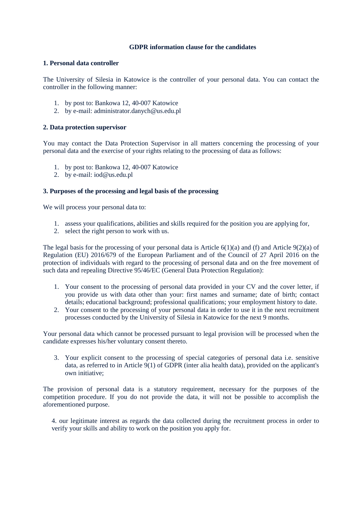# **GDPR information clause for the candidates**

# **1. Personal data controller**

The University of Silesia in Katowice is the controller of your personal data. You can contact the controller in the following manner:

- 1. by post to: Bankowa 12, 40-007 Katowice
- 2. by e-mail: administrator.danych@us.edu.pl

### **2. Data protection supervisor**

You may contact the Data Protection Supervisor in all matters concerning the processing of your personal data and the exercise of your rights relating to the processing of data as follows:

- 1. by post to: Bankowa 12, 40-007 Katowice
- 2. by e-mail: iod@us.edu.pl

# **3. Purposes of the processing and legal basis of the processing**

We will process your personal data to:

- 1. assess your qualifications, abilities and skills required for the position you are applying for,
- 2. select the right person to work with us.

The legal basis for the processing of your personal data is Article 6(1)(a) and (f) and Article 9(2)(a) of Regulation (EU) 2016/679 of the European Parliament and of the Council of 27 April 2016 on the protection of individuals with regard to the processing of personal data and on the free movement of such data and repealing Directive 95/46/EC (General Data Protection Regulation):

- 1. Your consent to the processing of personal data provided in your CV and the cover letter, if you provide us with data other than your: first names and surname; date of birth; contact details; educational background; professional qualifications; your employment history to date.
- 2. Your consent to the processing of your personal data in order to use it in the next recruitment processes conducted by the University of Silesia in Katowice for the next 9 months.

Your personal data which cannot be processed pursuant to legal provision will be processed when the candidate expresses his/her voluntary consent thereto.

3. Your explicit consent to the processing of special categories of personal data i.e. sensitive data, as referred to in Article 9(1) of GDPR (inter alia health data), provided on the applicant's own initiative;

The provision of personal data is a statutory requirement, necessary for the purposes of the competition procedure. If you do not provide the data, it will not be possible to accomplish the aforementioned purpose.

4. our legitimate interest as regards the data collected during the recruitment process in order to verify your skills and ability to work on the position you apply for.